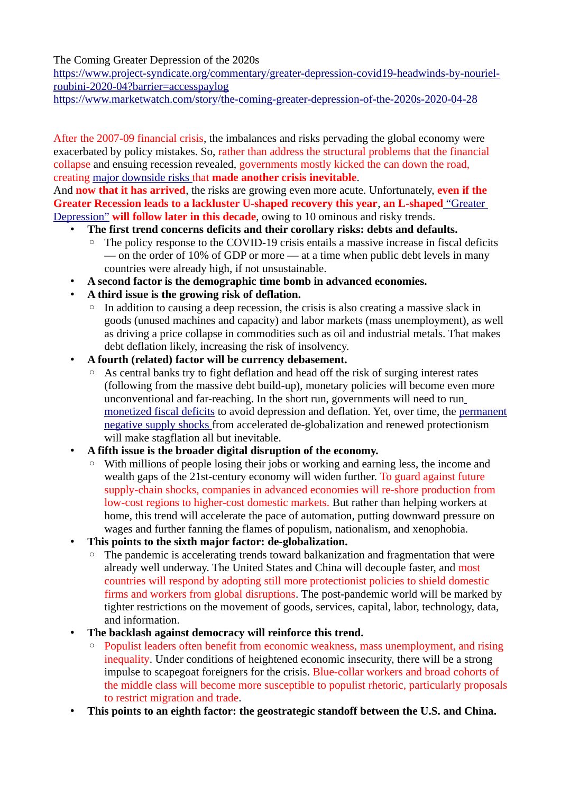The Coming Greater Depression of the 2020s

[https://www.project-syndicate.org/commentary/greater-depression-covid19-headwinds-by-nouriel](https://www.project-syndicate.org/commentary/greater-depression-covid19-headwinds-by-nouriel-roubini-2020-04?barrier=accesspaylog)[roubini-2020-04?barrier=accesspaylog](https://www.project-syndicate.org/commentary/greater-depression-covid19-headwinds-by-nouriel-roubini-2020-04?barrier=accesspaylog)

<https://www.marketwatch.com/story/the-coming-greater-depression-of-the-2020s-2020-04-28>

After the 2007-09 financial crisis, the imbalances and risks pervading the global economy were exacerbated by policy mistakes. So, rather than address the structural problems that the financial collapse and ensuing recession revealed, governments mostly kicked the can down the road, creating [major downside risks](https://www.marketwatch.com/story/the-stock-market-is-ignoring-these-white-swan-events-that-could-upend-everything-roubini-warns-2020-02-18?mod=article_inline) that **made another crisis inevitable**.

And **now that it has arrived**, the risks are growing even more acute. Unfortunately, **even if the Greater Recession leads to a lackluster U-shaped recovery this year**, **an L-shaped** ["Greater](https://www.project-syndicate.org/commentary/coronavirus-greater-great-depression-by-nouriel-roubini-2020-03)  [Depression"](https://www.project-syndicate.org/commentary/coronavirus-greater-great-depression-by-nouriel-roubini-2020-03) **will follow later in this decade**, owing to 10 ominous and risky trends.

- **The first trend concerns deficits and their corollary risks: debts and defaults.**
	- The policy response to the COVID-19 crisis entails a massive increase in fiscal deficits — on the order of 10% of GDP or more — at a time when public debt levels in many countries were already high, if not unsustainable.
- **A second factor is the demographic time bomb in advanced economies.**
- **A third issue is the growing risk of deflation.**
	- In addition to causing a deep recession, the crisis is also creating a massive slack in goods (unused machines and capacity) and labor markets (mass unemployment), as well as driving a price collapse in commodities such as oil and industrial metals. That makes debt deflation likely, increasing the risk of insolvency.
- **A fourth (related) factor will be currency debasement.** 
	- As central banks try to fight deflation and head off the risk of surging interest rates (following from the massive debt build-up), monetary policies will become even more unconventional and far-reaching. In the short run, governments will need to run [monetized fiscal deficits](https://www.marketwatch.com/story/printing-money-isnt-a-universal-cure-all-in-recession-roubini-says-2019-10-28?mod=article_inline) to avoid depression and deflation. Yet, over time, the [permanent](https://www.marketwatch.com/story/the-fed-cant-rescue-us-from-the-coming-supply-shock-recession-2019-08-22?mod=article_inline) [negative supply shocks](https://www.marketwatch.com/story/the-fed-cant-rescue-us-from-the-coming-supply-shock-recession-2019-08-22?mod=article_inline) from accelerated de-globalization and renewed protectionism will make stagflation all but inevitable.
- **A fifth issue is the broader digital disruption of the economy.** 
	- With millions of people losing their jobs or working and earning less, the income and wealth gaps of the 21st-century economy will widen further. To guard against future supply-chain shocks, companies in advanced economies will re-shore production from low-cost regions to higher-cost domestic markets. But rather than helping workers at home, this trend will accelerate the pace of automation, putting downward pressure on wages and further fanning the flames of populism, nationalism, and xenophobia.
- **This points to the sixth major factor: de-globalization.** 
	- The pandemic is accelerating trends toward balkanization and fragmentation that were already well underway. The United States and China will decouple faster, and most countries will respond by adopting still more protectionist policies to shield domestic firms and workers from global disruptions. The post-pandemic world will be marked by tighter restrictions on the movement of goods, services, capital, labor, technology, data, and information.
- **The backlash against democracy will reinforce this trend.** 
	- Populist leaders often benefit from economic weakness, mass unemployment, and rising inequality. Under conditions of heightened economic insecurity, there will be a strong impulse to scapegoat foreigners for the crisis. Blue-collar workers and broad cohorts of the middle class will become more susceptible to populist rhetoric, particularly proposals to restrict migration and trade.
- **This points to an eighth factor: the geostrategic standoff between the U.S. and China.**